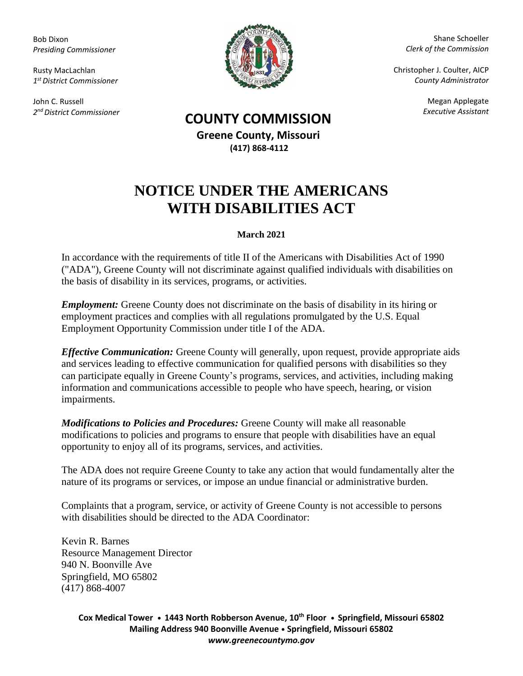Bob Dixon *Presiding Commissioner*

Rusty MacLachlan *1 st District Commissioner*

John C. Russell *2 nd District Commissioner*



Shane Schoeller *Clerk of the Commission*

Christopher J. Coulter, AICP *County Administrator*

Megan Applegate

## *Executive Assistant* **COUNTY COMMISSION**

**Greene County, Missouri (417) 868-4112**

## **NOTICE UNDER THE AMERICANS WITH DISABILITIES ACT**

## **March 2021**

In accordance with the requirements of title II of the Americans with Disabilities Act of 1990 ("ADA"), Greene County will not discriminate against qualified individuals with disabilities on the basis of disability in its services, programs, or activities.

*Employment:* Greene County does not discriminate on the basis of disability in its hiring or employment practices and complies with all regulations promulgated by the U.S. Equal Employment Opportunity Commission under title I of the ADA.

*Effective Communication:* Greene County will generally, upon request, provide appropriate aids and services leading to effective communication for qualified persons with disabilities so they can participate equally in Greene County's programs, services, and activities, including making information and communications accessible to people who have speech, hearing, or vision impairments.

*Modifications to Policies and Procedures:* Greene County will make all reasonable modifications to policies and programs to ensure that people with disabilities have an equal opportunity to enjoy all of its programs, services, and activities.

The ADA does not require Greene County to take any action that would fundamentally alter the nature of its programs or services, or impose an undue financial or administrative burden.

Complaints that a program, service, or activity of Greene County is not accessible to persons with disabilities should be directed to the ADA Coordinator:

Kevin R. Barnes Resource Management Director 940 N. Boonville Ave Springfield, MO 65802 (417) 868-4007

> **Cox Medical Tower • 1443 North Robberson Avenue, 10th Floor • Springfield, Missouri 65802 Mailing Address 940 Boonville Avenue • Springfield, Missouri 65802** *www.greenecountymo.gov*